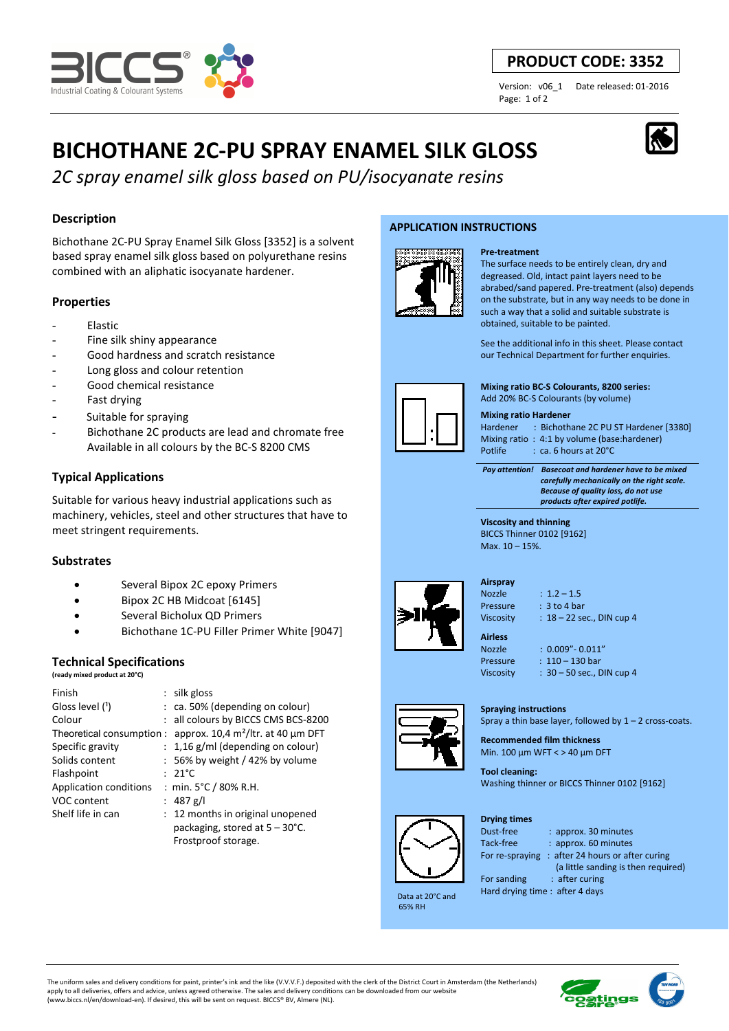

# **PRODUCT CODE: 3352**

Page: 1 of 2

Version: v06\_1 Date released: 01-2016

# **BICHOTHANE 2C-PU SPRAY ENAMEL SILK GLOSS**

*2C spray enamel silk gloss based on PU/isocyanate resins*

# **Description**

Bichothane 2C-PU Spray Enamel Silk Gloss [3352] is a solvent based spray enamel silk gloss based on polyurethane resins combined with an aliphatic isocyanate hardener.

# **Properties**

- **Elastic**
- Fine silk shiny appearance
- Good hardness and scratch resistance
- Long gloss and colour retention
- Good chemical resistance
- Fast drying
- Suitable for spraying
- Bichothane 2C products are lead and chromate free Available in all colours by the BC-S 8200 CMS

# **Typical Applications**

Suitable for various heavy industrial applications such as machinery, vehicles, steel and other structures that have to meet stringent requirements.

# **Substrates**

- Several Bipox 2C epoxy Primers
- Bipox 2C HB Midcoat [6145]
- Several Bicholux QD Primers
- Bichothane 1C-PU Filler Primer White [9047]

# **Technical Specifications**

**(ready mixed product at 20°C)**

| Finish                        | $:$ silk gloss                           |
|-------------------------------|------------------------------------------|
| Gloss level (1)               | $:$ ca. 50% (depending on colour)        |
| Colour                        | : all colours by BICCS CMS BCS-8200      |
| Theoretical consumption:      | approx. 10,4 $m^2$ /ltr. at 40 µm DFT    |
| Specific gravity              | $: 1,16$ g/ml (depending on colour)      |
| Solids content                | $: 56\%$ by weight / 42% by volume       |
| Flashpoint                    | $: 21^{\circ}$ C                         |
| <b>Application conditions</b> | : min. $5^{\circ}$ C / 80% R.H.          |
| VOC content                   | : 487 g/l                                |
| Shelf life in can             | : 12 months in original unopened         |
|                               | packaging, stored at $5 - 30^{\circ}$ C. |
|                               | Frostproof storage.                      |

# **APPLICATION INSTRUCTIONS**

**Pre-treatment**



The surface needs to be entirely clean, dry and degreased. Old, intact paint layers need to be abrabed/sand papered. Pre-treatment (also) depends on the substrate, but in any way needs to be done in such a way that a solid and suitable substrate is obtained, suitable to be painted.

See the additional info in this sheet. Please contact our Technical Department for further enquiries.

**Mixing ratio BC-S Colourants, 8200 series:**  Add 20% BC-S Colourants (by volume)

**Mixing ratio Hardener**  Hardener : Bichothane 2C PU ST Hardener [3380] Mixing ratio : 4:1 by volume (base:hardener)<br>Potlife : ca. 6 hours at 20°C Potlife : ca. 6 hours at 20°C

 *Pay attention! Basecoat and hardener have to be mixed carefully mechanically on the right scale. Because of quality loss, do not use products after expired potlife.*

**Viscosity and thinning**  BICCS Thinner 0102 [9162] Max. 10 – 15%.



# **Airspray**

**Airless** 

Nozzle : 1.2 – 1.5 Pressure : 3 to 4 bar Viscosity : 18 - 22 sec., DIN cup 4

# Nozzle : 0.009"- 0.011"

Pressure : 110 – 130 bar Viscosity : 30 – 50 sec., DIN cup 4

# **Spraying instructions**

Spray a thin base layer, followed by  $1 - 2$  cross-coats.

**Recommended film thickness**  Min. 100 µm WFT < > 40 µm DFT

**Tool cleaning:**  Washing thinner or BICCS Thinner 0102 [9162]

#### **Drying times**

: approx. 30 minutes : approx. 60 minutes g: after 24 hours or after curing

 (a little sanding is then required) For sanding : after curing

Hard drying time : after 4 days

 Data at 20°C and 65% RH

The uniform sales and delivery conditions for paint, printer's ink and the like (V.V.V.F.) deposited with the clerk of the District Court in Amsterdam (the Netherlands) apply to all deliveries, offers and advice, unless agreed otherwise. The sales and delivery conditions can be downloaded from our website (www.biccs.nl/en/download-en). If desired, this will be sent on request. BICCS® BV, Almere (NL).